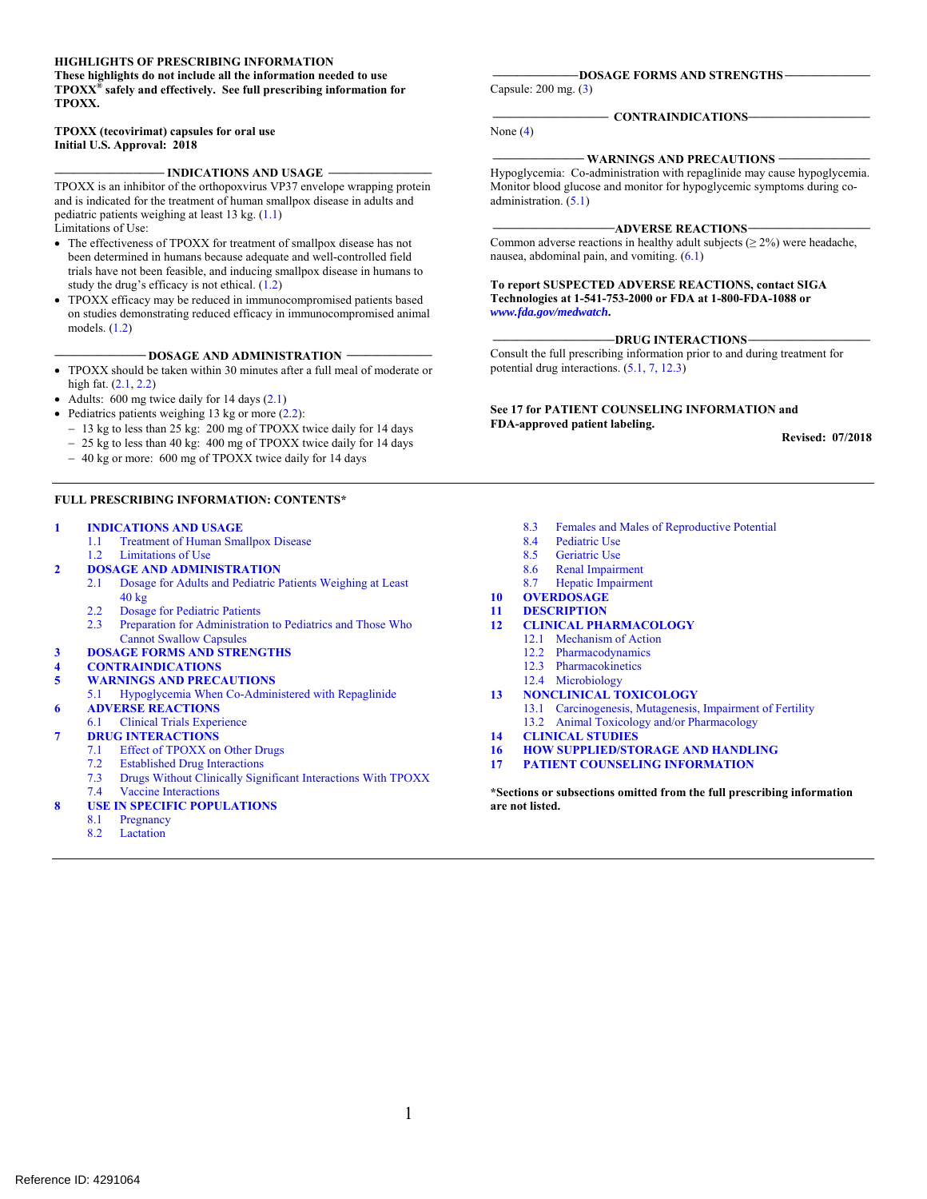#### **HIGHLIGHTS OF PRESCRIBING INFORMATION**

**These highlights do not include all the information needed to use TPOXX® safely and effectively. See full prescribing information for TPOXX.** 

#### **Initial U.S. Approval: 2018 TPOXX (tecovirimat) capsules for oral use**

**\_\_\_\_\_\_\_\_\_\_\_\_\_\_\_\_\_\_ \_\_\_\_\_\_\_\_\_\_\_\_\_\_\_\_\_ INDICATIONS AND USAGE**

TPOXX is an inhibitor of the orthopoxvirus VP37 envelope wrapping protein and is indicated for the treatment of human smallpox disease in adults and pediatric patients weighing at least 13 kg. (1.1) Limitations of Use:

- The effectiveness of TPOXX for treatment of smallpox disease has not been determined in humans because adequate and well-controlled field trials have not been feasible, and inducing smallpox disease in humans to study the drug's efficacy is not ethical. (1.2)
- TPOXX efficacy may be reduced in immunocompromised patients based on studies demonstrating reduced efficacy in immunocompromised animal models. (1.2)

**\_\_\_\_\_\_\_\_\_\_\_\_\_\_\_ \_\_\_\_\_\_\_\_\_\_\_\_\_\_ DOSAGE AND ADMINISTRATION**

- TPOXX should be taken within 30 minutes after a full meal of moderate or high fat. (2.1, 2.2)
- Adults: 600 mg twice daily for 14 days (2.1)
- Pediatrics patients weighing 13 kg or more  $(2.2)$ :
	- 13 kg to less than 25 kg: 200 mg of TPOXX twice daily for 14 days
	- 25 kg to less than 40 kg: 400 mg of TPOXX twice daily for 14 days
	- 40 kg or more: 600 mg of TPOXX twice daily for 14 days

#### **FULL PRESCRIBING INFORMATION: CONTENTS\***

#### **INDICATIONS AND USAGE**

- 1.1 Treatment of Human Smallpox Disease
- 1.2 Limitations of Use
- **2 DOSAGE AND ADMINISTRATION**
- 2.1 Dosage for Adults and Pediatric Patients Weighing at Least 40 kg NDICATIONS AND USAGE ARCHIVIS SINGTON SALE (SCIENCIAL STUDIES)<br>
1.1 Treatment of Human Smallpox Disease<br>
1.2 Limitations of Use<br>
2.1 Limitations of Use<br>
2.1 Limitation School Males and The Second Science And Males of Repro
	- 2.2 Dosage for Pediatric Patients<br>2.3 Preparation for Administration
	- Preparation for Administration to Pediatrics and Those Who Cannot Swallow Capsules
- **3 DOSAGE FORMS AND STRENGTHS**
- **4 CONTRAINDICATIONS**
- **5 WARNINGS AND PRECAUTIONS**
- 5.1 Hypoglycemia When Co-Administered with Repaglinide
- **6 ADVERSE REACTIONS** 
	- 6.1 Clinical Trials Experience
- **7 DRUG INTERACTIONS** 
	- 7.1 Effect of TPOXX on Other Drugs
	- 7.2 Established Drug Interactions
	- 7.3 Drugs Without Clinically Significant Interactions With TPOXX
	- Vaccine Interactions
- **USE IN SPECIFIC POPULATIONS** 
	- 8.1 Pregnancy
	- 8.2 Lactation

 **\_\_\_\_\_\_\_\_\_\_\_\_\_\_ \_\_\_\_\_\_\_\_\_\_\_\_\_\_ DOSAGE FORMS AND STRENGTHS**

Capsule: 200 mg. (3)

#### $\sim$  CONTRAINDICATIONS-

None  $(4)$ 

#### - WARNINGS AND PRECAUTIONS -

Hypoglycemia: Co-administration with repaglinide may cause hypoglycemia. Monitor blood glucose and monitor for hypoglycemic symptoms during coadministration.  $(5.1)$ 

#### **\_\_\_\_\_\_\_\_\_\_\_\_\_\_\_\_\_\_\_\_ADVERSE REACTIONS\_\_\_\_\_\_\_\_\_\_\_\_\_\_\_\_\_\_\_\_**

Common adverse reactions in healthy adult subjects ( $\geq 2\%$ ) were headache, nausea, abdominal pain, and vomiting. (6.1)

**To report SUSPECTED ADVERSE REACTIONS, contact SIGA Technologies at 1-541-753-2000 or FDA at 1-800-FDA-1088 or**  *www.fda.gov/medwatch***.**

#### -DRUG INTERACTIONS-

Consult the full prescribing information prior to and during treatment for potential drug interactions. (5.1, 7, 12.3)

**See 17 for PATIENT COUNSELING INFORMATION and FDA-approved patient labeling.** 

**Revised: 07/2018** 

- 
- 
- 8.4 Pediatric Use<br>8.5 Geriatric Use 8.4 Pediatric Use<br>8.5 Geriatric Use
- 
- 8.6 Renal Impairment<br>8.7 Hepatic Impairment Hepatic Impairment
- **10 OVERDOSAGE**
- **11 DESCRIPTION**
- **12 CLINICAL PHARMACOLOGY** 
	- 12.1 Mechanism of Action
		- 12.2 Pharmacodynamics
		- 12.3 Pharmacokinetics
	- 12.4 Microbiology
- **13 NONCLINICAL TOXICOLOGY** 
	- 13.1 Carcinogenesis, Mutagenesis, Impairment of Fertility
	- 13.2 Animal Toxicology and/or Pharmacology
- **14 CLINICAL STUDIES**
- **16 HOW SUPPLIED/STORAGE AND HANDLING**
- **17 PATIENT COUNSELING INFORMATION**

**\*Sections or subsections omitted from the full prescribing information are not listed.**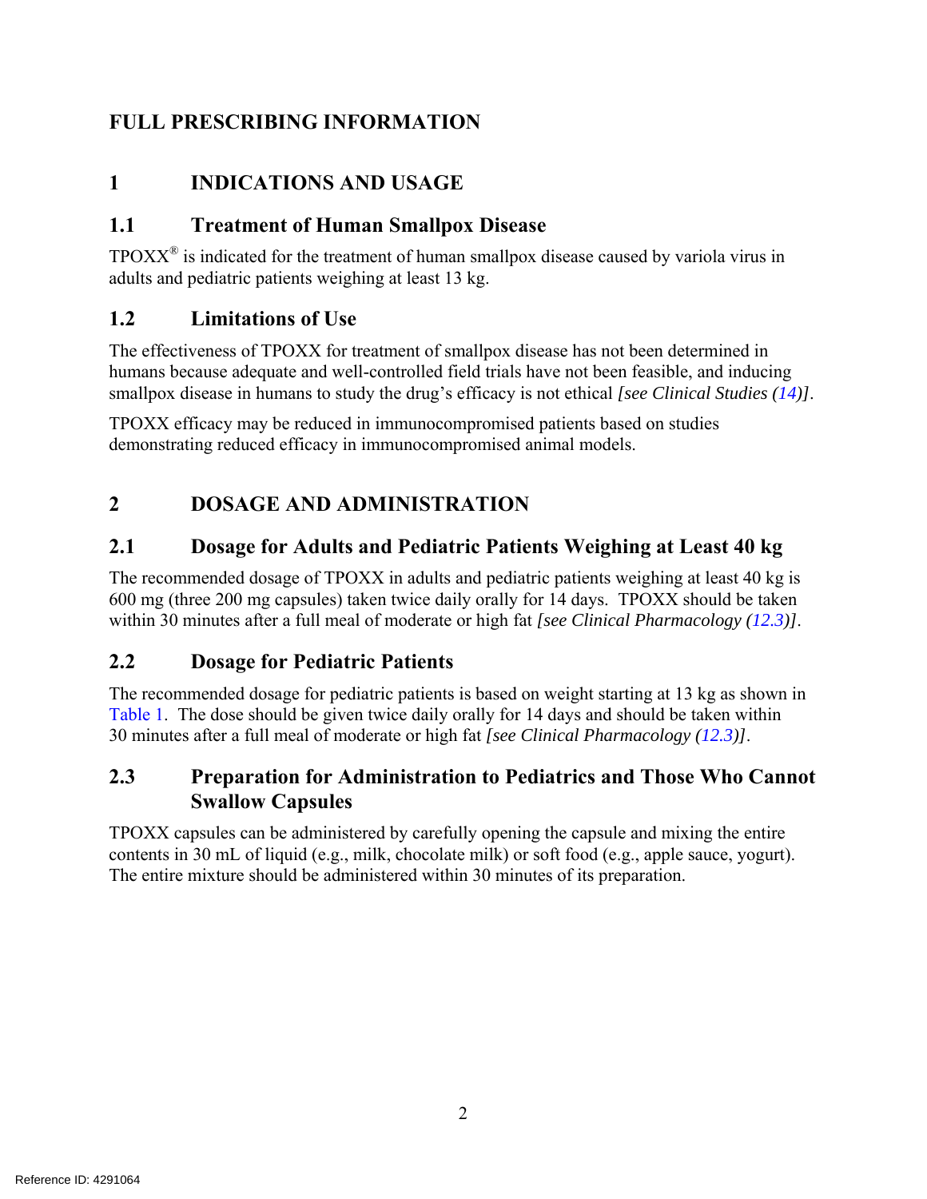# **FULL PRESCRIBING INFORMATION**

# **1 INDICATIONS AND USAGE**

# **1.1 Treatment of Human Smallpox Disease**

 $TPOXX<sup>®</sup>$  is indicated for the treatment of human smallpox disease caused by variola virus in adults and pediatric patients weighing at least 13 kg.

# **1.2 Limitations of Use**

The effectiveness of TPOXX for treatment of smallpox disease has not been determined in humans because adequate and well-controlled field trials have not been feasible, and inducing smallpox disease in humans to study the drug's efficacy is not ethical *[see Clinical Studies (14)]*.

TPOXX efficacy may be reduced in immunocompromised patients based on studies demonstrating reduced efficacy in immunocompromised animal models.

# **2 DOSAGE AND ADMINISTRATION**

# **2.1 Dosage for Adults and Pediatric Patients Weighing at Least 40 kg**

The recommended dosage of TPOXX in adults and pediatric patients weighing at least 40 kg is 600 mg (three 200 mg capsules) taken twice daily orally for 14 days. TPOXX should be taken within 30 minutes after a full meal of moderate or high fat *[see Clinical Pharmacology (12.3)]*.

# **2.2 Dosage for Pediatric Patients**

The recommended dosage for pediatric patients is based on weight starting at 13 kg as shown in Table 1. The dose should be given twice daily orally for 14 days and should be taken within 30 minutes after a full meal of moderate or high fat *[see Clinical Pharmacology (12.3)]*.

# **2.3 Preparation for Administration to Pediatrics and Those Who Cannot Swallow Capsules**

TPOXX capsules can be administered by carefully opening the capsule and mixing the entire contents in 30 mL of liquid (e.g., milk, chocolate milk) or soft food (e.g., apple sauce, yogurt). The entire mixture should be administered within 30 minutes of its preparation.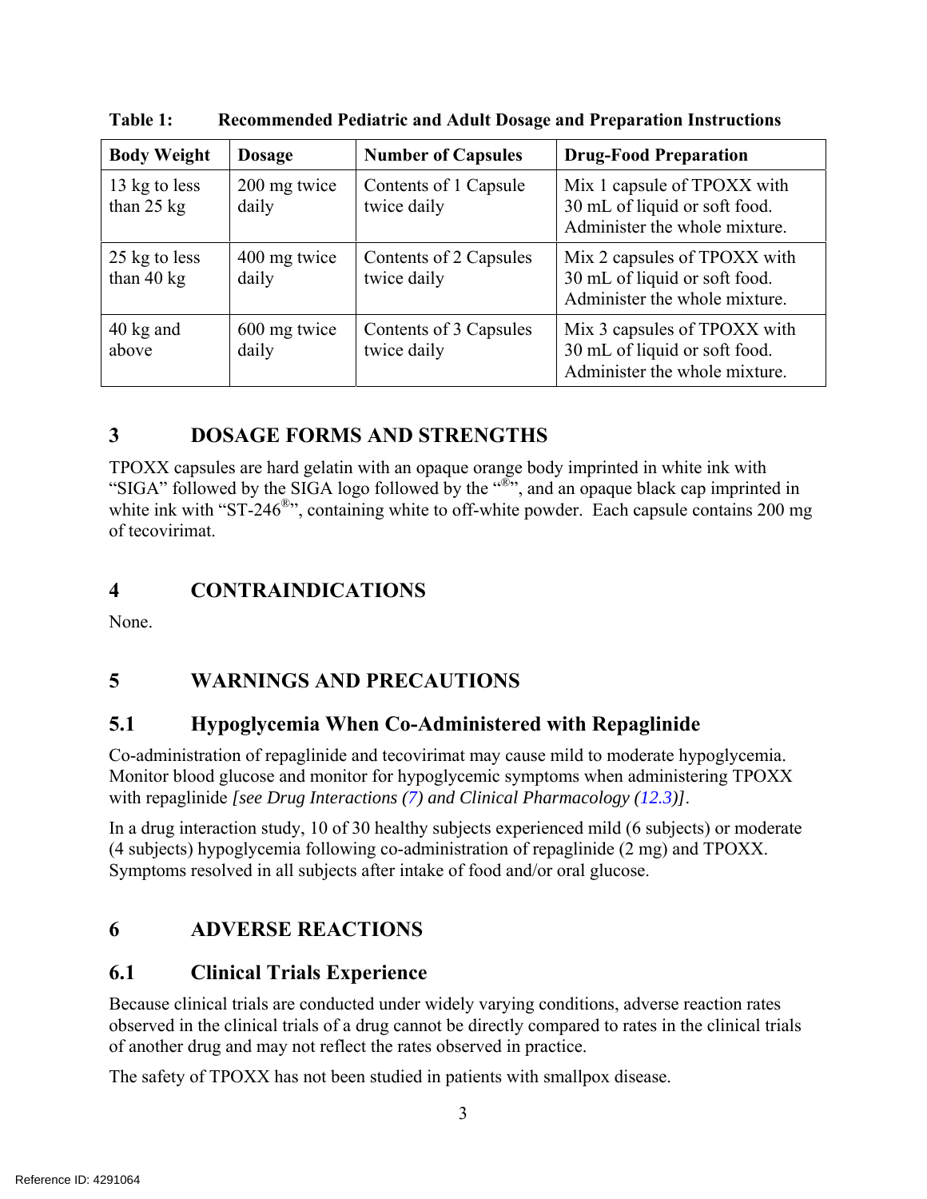| <b>Body Weight</b>                    | <b>Dosage</b>         | <b>Number of Capsules</b>             | <b>Drug-Food Preparation</b>                                                                   |
|---------------------------------------|-----------------------|---------------------------------------|------------------------------------------------------------------------------------------------|
| 13 kg to less<br>than $25$ kg         | 200 mg twice<br>daily | Contents of 1 Capsule<br>twice daily  | Mix 1 capsule of TPOXX with<br>30 mL of liquid or soft food.<br>Administer the whole mixture.  |
| 25 kg to less<br>than $40 \text{ kg}$ | 400 mg twice<br>daily | Contents of 2 Capsules<br>twice daily | Mix 2 capsules of TPOXX with<br>30 mL of liquid or soft food.<br>Administer the whole mixture. |
| 40 kg and<br>above                    | 600 mg twice<br>daily | Contents of 3 Capsules<br>twice daily | Mix 3 capsules of TPOXX with<br>30 mL of liquid or soft food.<br>Administer the whole mixture. |

**Table 1: Recommended Pediatric and Adult Dosage and Preparation Instructions** 

# **3 DOSAGE FORMS AND STRENGTHS**

TPOXX capsules are hard gelatin with an opaque orange body imprinted in white ink with "SIGA" followed by the SIGA logo followed by the "<sup>®"</sup>, and an opaque black cap imprinted in white ink with "ST-246<sup>®</sup>", containing white to off-white powder. Each capsule contains 200 mg of tecovirimat.

# **4 CONTRAINDICATIONS**

None.

# **5 WARNINGS AND PRECAUTIONS**

# **5.1 Hypoglycemia When Co-Administered with Repaglinide**

Co-administration of repaglinide and tecovirimat may cause mild to moderate hypoglycemia. Monitor blood glucose and monitor for hypoglycemic symptoms when administering TPOXX with repaglinide *[see Drug Interactions (7) and Clinical Pharmacology (12.3)]*.

In a drug interaction study, 10 of 30 healthy subjects experienced mild (6 subjects) or moderate (4 subjects) hypoglycemia following co-administration of repaglinide (2 mg) and TPOXX. Symptoms resolved in all subjects after intake of food and/or oral glucose.

# **6 ADVERSE REACTIONS**

# **6.1 Clinical Trials Experience**

Because clinical trials are conducted under widely varying conditions, adverse reaction rates observed in the clinical trials of a drug cannot be directly compared to rates in the clinical trials of another drug and may not reflect the rates observed in practice.

The safety of TPOXX has not been studied in patients with smallpox disease.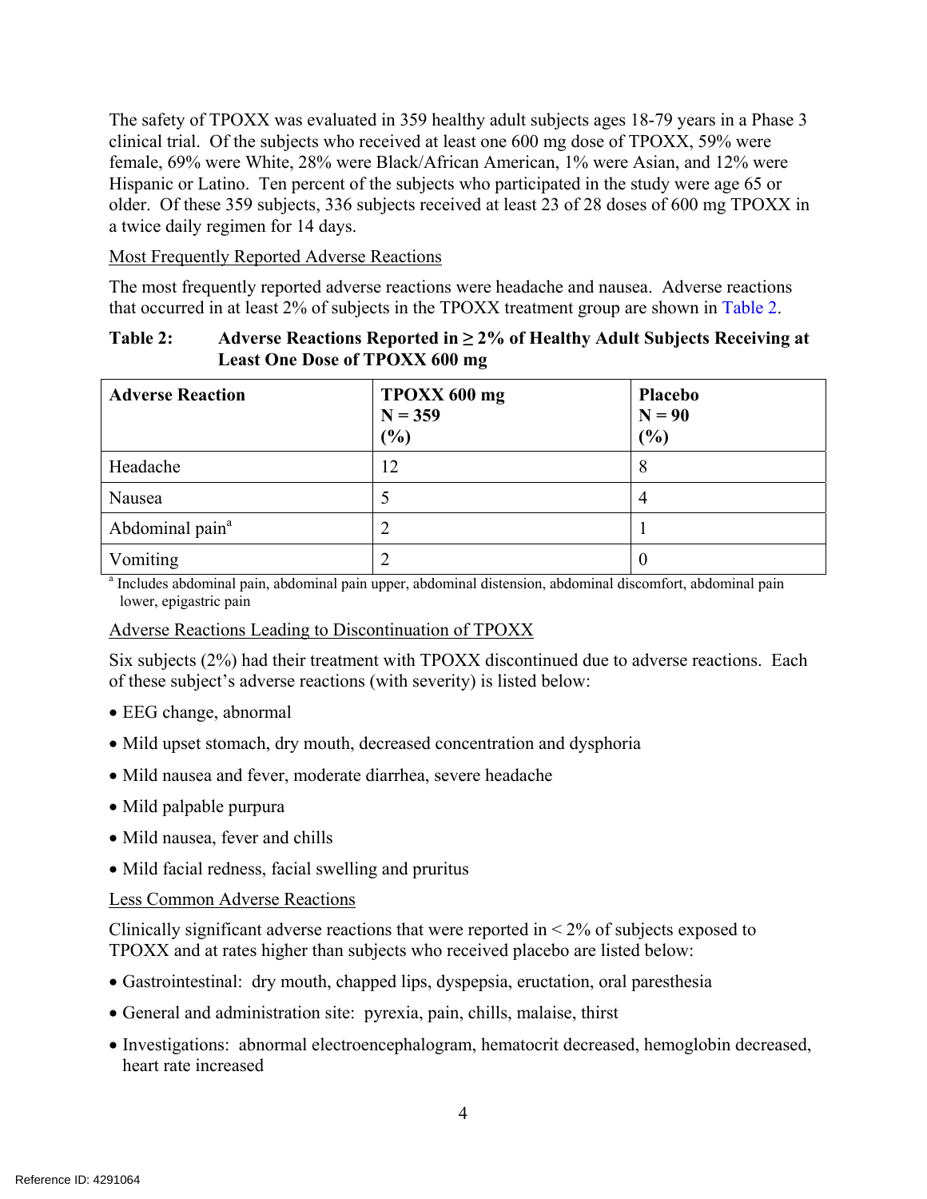The safety of TPOXX was evaluated in 359 healthy adult subjects ages 18-79 years in a Phase 3 clinical trial. Of the subjects who received at least one 600 mg dose of TPOXX, 59% were female, 69% were White, 28% were Black/African American, 1% were Asian, and 12% were Hispanic or Latino. Ten percent of the subjects who participated in the study were age 65 or older. Of these 359 subjects, 336 subjects received at least 23 of 28 doses of 600 mg TPOXX in a twice daily regimen for 14 days.

Most Frequently Reported Adverse Reactions

The most frequently reported adverse reactions were headache and nausea. Adverse reactions that occurred in at least 2% of subjects in the TPOXX treatment group are shown in Table 2.

#### **Table 2: Adverse Reactions Reported in ≥ 2% of Healthy Adult Subjects Receiving at Least One Dose of TPOXX 600 mg**

| <b>Adverse Reaction</b>                                                                                     | TPOXX 600 mg<br>$N = 359$<br>(%) | <b>Placebo</b><br>$N = 90$<br>(%) |  |  |
|-------------------------------------------------------------------------------------------------------------|----------------------------------|-----------------------------------|--|--|
| Headache                                                                                                    | 12                               | 8                                 |  |  |
| Nausea                                                                                                      |                                  |                                   |  |  |
| Abdominal pain <sup>a</sup>                                                                                 |                                  |                                   |  |  |
| Vomiting                                                                                                    | 2                                |                                   |  |  |
| a Includes abdominal pain, abdominal pain upper, abdominal distension, abdominal discomfort, abdominal pain |                                  |                                   |  |  |

lower, epigastric pain

#### Adverse Reactions Leading to Discontinuation of TPOXX

Six subjects (2%) had their treatment with TPOXX discontinued due to adverse reactions. Each of these subject's adverse reactions (with severity) is listed below:

- EEG change, abnormal
- Mild upset stomach, dry mouth, decreased concentration and dysphoria
- Mild nausea and fever, moderate diarrhea, severe headache
- Mild palpable purpura
- Mild nausea, fever and chills
- Mild facial redness, facial swelling and pruritus

#### Less Common Adverse Reactions

Clinically significant adverse reactions that were reported in  $\leq 2\%$  of subjects exposed to TPOXX and at rates higher than subjects who received placebo are listed below:

- Gastrointestinal: dry mouth, chapped lips, dyspepsia, eructation, oral paresthesia
- General and administration site: pyrexia, pain, chills, malaise, thirst
- Investigations: abnormal electroencephalogram, hematocrit decreased, hemoglobin decreased, heart rate increased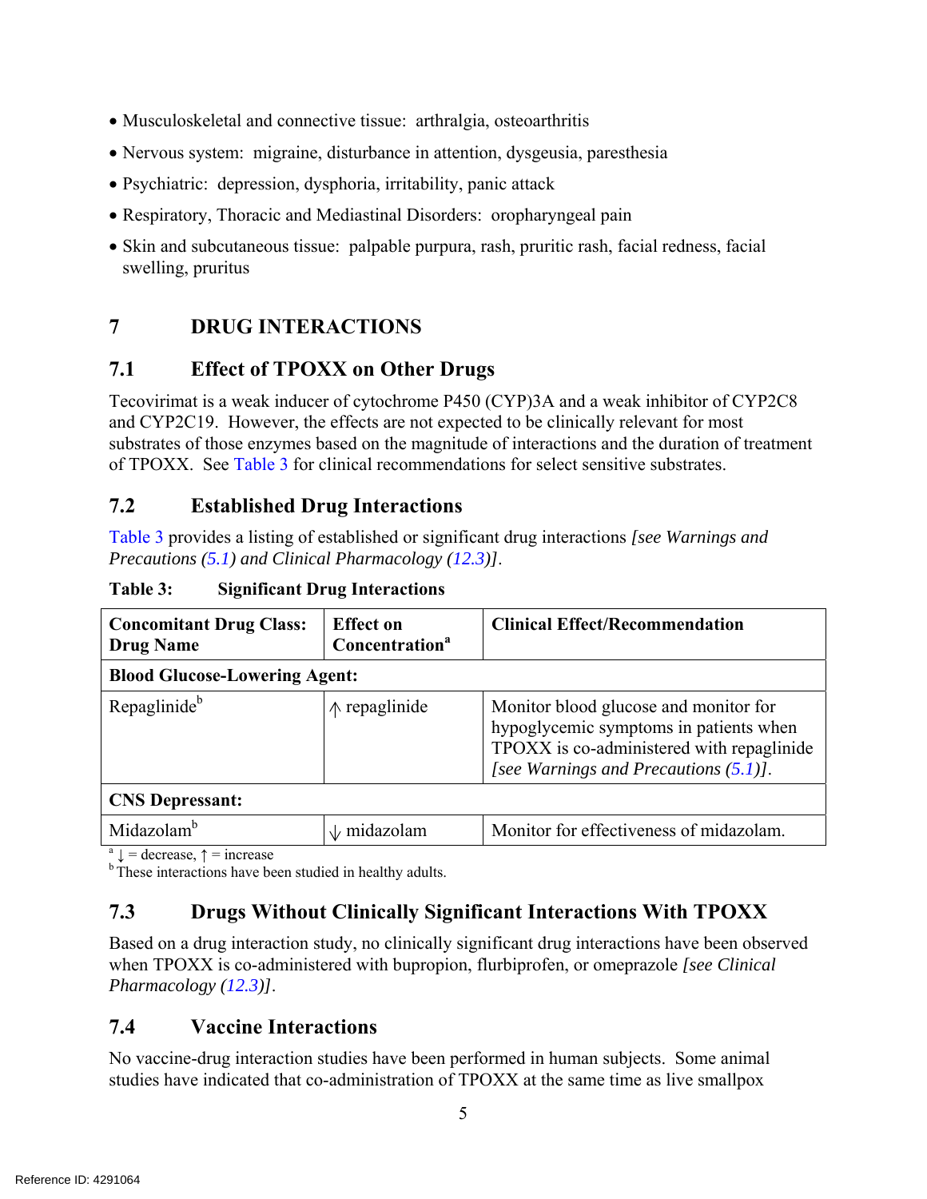- Musculoskeletal and connective tissue: arthralgia, osteoarthritis
- Nervous system: migraine, disturbance in attention, dysgeusia, paresthesia
- Psychiatric: depression, dysphoria, irritability, panic attack
- Respiratory, Thoracic and Mediastinal Disorders: oropharyngeal pain
- Skin and subcutaneous tissue: palpable purpura, rash, pruritic rash, facial redness, facial swelling, pruritus

# **7 DRUG INTERACTIONS**

# **7.1 Effect of TPOXX on Other Drugs**

Tecovirimat is a weak inducer of cytochrome P450 (CYP)3A and a weak inhibitor of CYP2C8 and CYP2C19. However, the effects are not expected to be clinically relevant for most substrates of those enzymes based on the magnitude of interactions and the duration of treatment of TPOXX. See Table 3 for clinical recommendations for select sensitive substrates.

# **7.2 Established Drug Interactions**

Table 3 provides a listing of established or significant drug interactions *[see Warnings and Precautions (5.1) and Clinical Pharmacology (12.3)]*.

| <b>Concomitant Drug Class:</b><br><b>Drug Name</b>          | <b>Effect on</b><br>Concentration <sup>a</sup> | <b>Clinical Effect/Recommendation</b>                                                                                                                                    |  |  |  |
|-------------------------------------------------------------|------------------------------------------------|--------------------------------------------------------------------------------------------------------------------------------------------------------------------------|--|--|--|
| <b>Blood Glucose-Lowering Agent:</b>                        |                                                |                                                                                                                                                                          |  |  |  |
| Repaglinide <sup>b</sup>                                    | $\uparrow \uparrow$ repaglinide                | Monitor blood glucose and monitor for<br>hypoglycemic symptoms in patients when<br>TPOXX is co-administered with repaglinide<br>[see Warnings and Precautions $(5.1)$ ]. |  |  |  |
| <b>CNS Depressant:</b>                                      |                                                |                                                                                                                                                                          |  |  |  |
| Midazolam <sup>b</sup>                                      | $\sqrt{m}$ midazolam                           | Monitor for effectiveness of midazolam.                                                                                                                                  |  |  |  |
| <sup>a</sup> $\downarrow$ = decrease, $\uparrow$ = increase |                                                |                                                                                                                                                                          |  |  |  |

**Table 3: Significant Drug Interactions** 

<sup>a</sup>  $\downarrow$  = decrease,  $\uparrow$  = increase<br><sup>b</sup> These interactions have been studied in healthy adults.

# **7.3 Drugs Without Clinically Significant Interactions With TPOXX**

Based on a drug interaction study, no clinically significant drug interactions have been observed when TPOXX is co-administered with bupropion, flurbiprofen, or omeprazole *[see Clinical Pharmacology (12.3)]*.

# **7.4 Vaccine Interactions**

No vaccine-drug interaction studies have been performed in human subjects. Some animal studies have indicated that co-administration of TPOXX at the same time as live smallpox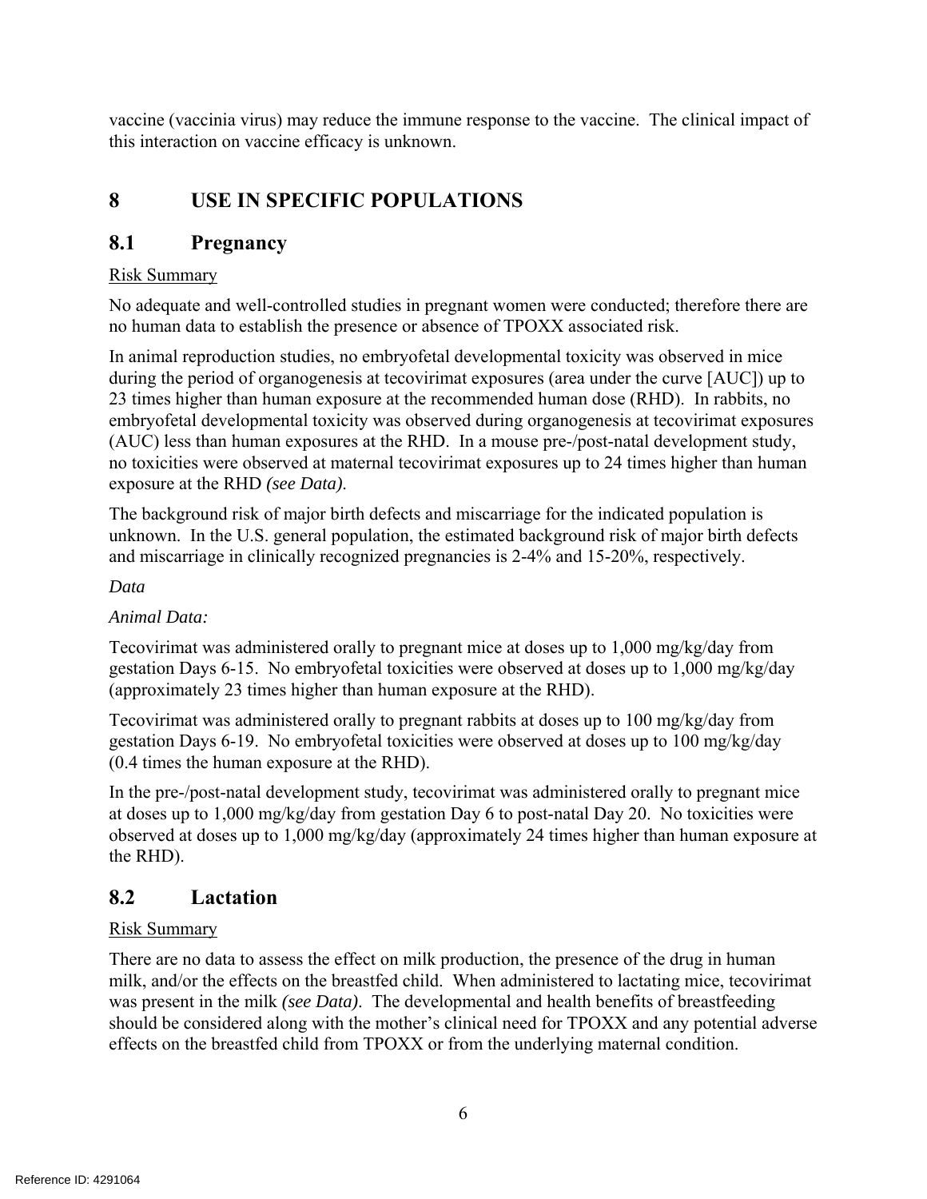vaccine (vaccinia virus) may reduce the immune response to the vaccine. The clinical impact of this interaction on vaccine efficacy is unknown.

# **8 USE IN SPECIFIC POPULATIONS**

# **8.1 Pregnancy**

#### Risk Summary

No adequate and well-controlled studies in pregnant women were conducted; therefore there are no human data to establish the presence or absence of TPOXX associated risk.

In animal reproduction studies, no embryofetal developmental toxicity was observed in mice during the period of organogenesis at tecovirimat exposures (area under the curve [AUC]) up to 23 times higher than human exposure at the recommended human dose (RHD). In rabbits, no embryofetal developmental toxicity was observed during organogenesis at tecovirimat exposures (AUC) less than human exposures at the RHD. In a mouse pre-/post-natal development study, no toxicities were observed at maternal tecovirimat exposures up to 24 times higher than human exposure at the RHD *(see Data)*.

The background risk of major birth defects and miscarriage for the indicated population is unknown. In the U.S. general population, the estimated background risk of major birth defects and miscarriage in clinically recognized pregnancies is 2-4% and 15-20%, respectively.

#### *Data*

#### *Animal Data:*

Tecovirimat was administered orally to pregnant mice at doses up to 1,000 mg/kg/day from gestation Days 6-15. No embryofetal toxicities were observed at doses up to 1,000 mg/kg/day (approximately 23 times higher than human exposure at the RHD).

Tecovirimat was administered orally to pregnant rabbits at doses up to 100 mg/kg/day from gestation Days 6-19. No embryofetal toxicities were observed at doses up to 100 mg/kg/day (0.4 times the human exposure at the RHD).

In the pre-/post-natal development study, tecovirimat was administered orally to pregnant mice at doses up to 1,000 mg/kg/day from gestation Day 6 to post-natal Day 20. No toxicities were observed at doses up to 1,000 mg/kg/day (approximately 24 times higher than human exposure at the RHD).

# **8.2 Lactation**

#### Risk Summary

There are no data to assess the effect on milk production, the presence of the drug in human milk, and/or the effects on the breastfed child. When administered to lactating mice, tecovirimat was present in the milk *(see Data)*. The developmental and health benefits of breastfeeding should be considered along with the mother's clinical need for TPOXX and any potential adverse effects on the breastfed child from TPOXX or from the underlying maternal condition.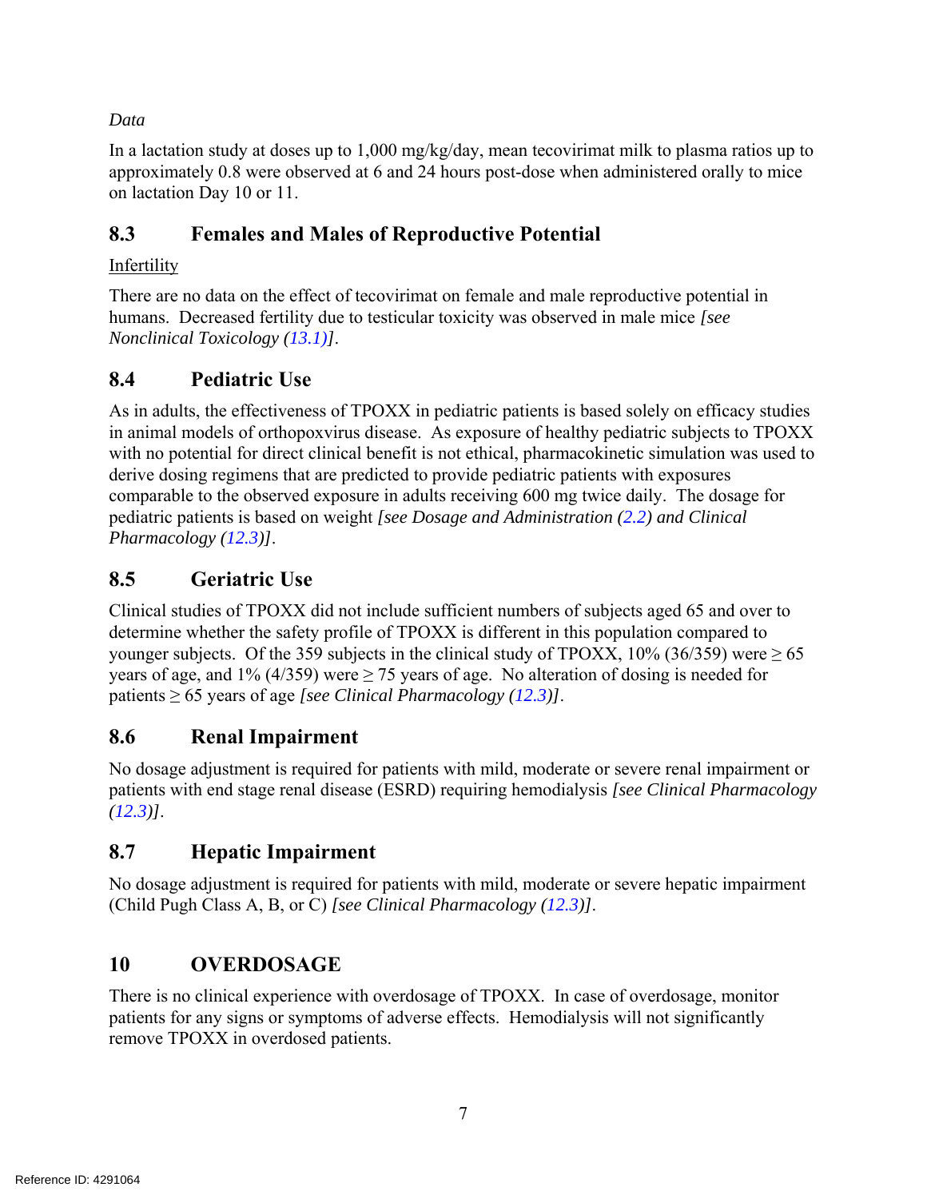*Data* 

In a lactation study at doses up to 1,000 mg/kg/day, mean tecovirimat milk to plasma ratios up to approximately 0.8 were observed at 6 and 24 hours post-dose when administered orally to mice on lactation Day 10 or 11.

# **8.3 Females and Males of Reproductive Potential**

# Infertility

There are no data on the effect of tecovirimat on female and male reproductive potential in humans. Decreased fertility due to testicular toxicity was observed in male mice *[see Nonclinical Toxicology (13.1)]*.

# **8.4 Pediatric Use**

As in adults, the effectiveness of TPOXX in pediatric patients is based solely on efficacy studies in animal models of orthopoxvirus disease. As exposure of healthy pediatric subjects to TPOXX with no potential for direct clinical benefit is not ethical, pharmacokinetic simulation was used to derive dosing regimens that are predicted to provide pediatric patients with exposures comparable to the observed exposure in adults receiving 600 mg twice daily. The dosage for pediatric patients is based on weight *[see Dosage and Administration (2.2) and Clinical Pharmacology (12.3)]*.

# **8.5 Geriatric Use**

Clinical studies of TPOXX did not include sufficient numbers of subjects aged 65 and over to determine whether the safety profile of TPOXX is different in this population compared to younger subjects. Of the 359 subjects in the clinical study of TPOXX, 10% (36/359) were  $\geq$  65 years of age, and 1% (4/359) were  $\geq$  75 years of age. No alteration of dosing is needed for patients ≥ 65 years of age *[see Clinical Pharmacology (12.3)]*.

# **8.6 Renal Impairment**

No dosage adjustment is required for patients with mild, moderate or severe renal impairment or patients with end stage renal disease (ESRD) requiring hemodialysis *[see Clinical Pharmacology (12.3)]*.

# **8.7 Hepatic Impairment**

No dosage adjustment is required for patients with mild, moderate or severe hepatic impairment (Child Pugh Class A, B, or C) *[see Clinical Pharmacology (12.3)]*.

# **10 OVERDOSAGE**

There is no clinical experience with overdosage of TPOXX. In case of overdosage, monitor patients for any signs or symptoms of adverse effects. Hemodialysis will not significantly remove TPOXX in overdosed patients.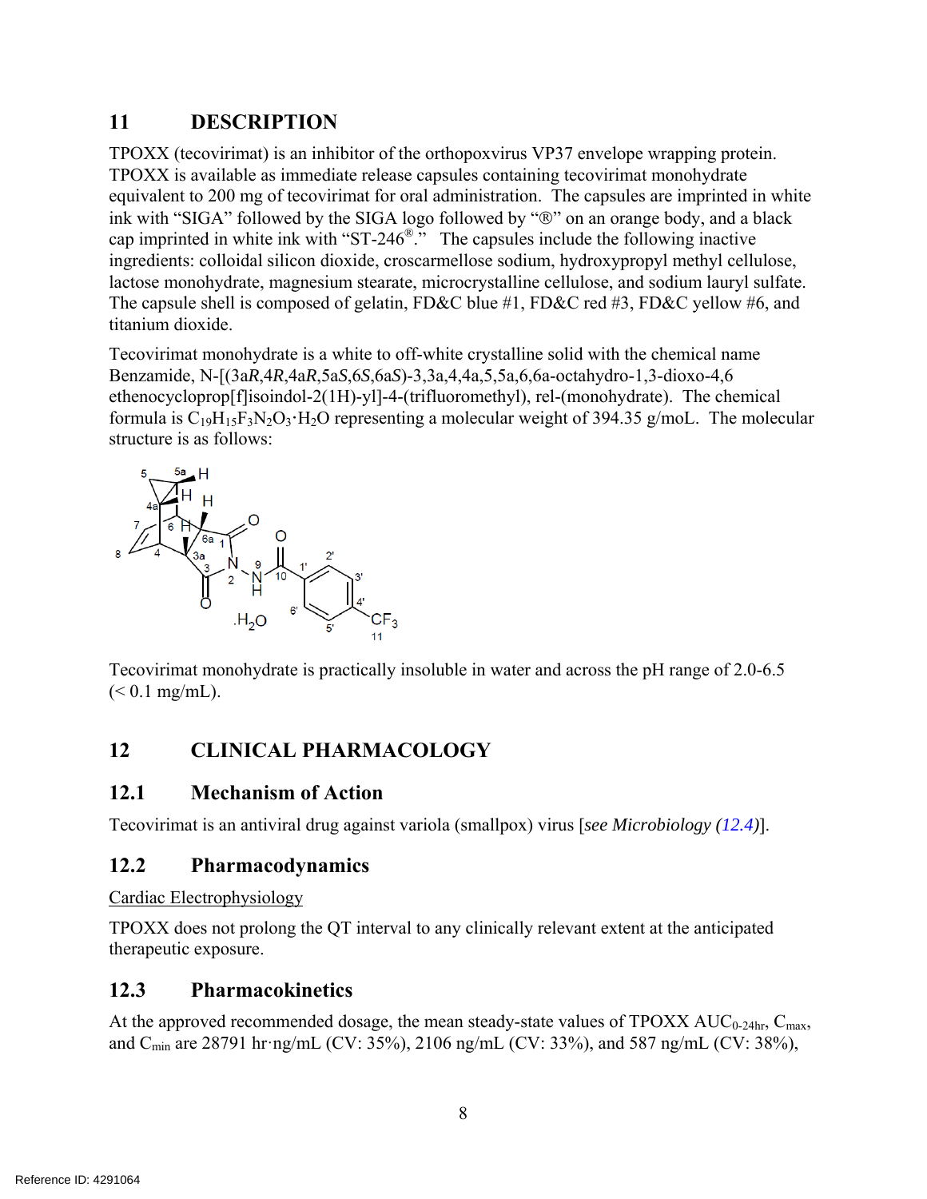## **11 DESCRIPTION**

TPOXX (tecovirimat) is an inhibitor of the orthopoxvirus VP37 envelope wrapping protein. TPOXX is available as immediate release capsules containing tecovirimat monohydrate equivalent to 200 mg of tecovirimat for oral administration. The capsules are imprinted in white ink with "SIGA" followed by the SIGA logo followed by " $\mathbb{D}$ " on an orange body, and a black cap imprinted in white ink with "ST-246®." The capsules include the following inactive ingredients: colloidal silicon dioxide, croscarmellose sodium, hydroxypropyl methyl cellulose, lactose monohydrate, magnesium stearate, microcrystalline cellulose, and sodium lauryl sulfate. The capsule shell is composed of gelatin, FD&C blue #1, FD&C red #3, FD&C yellow #6, and titanium dioxide.

Tecovirimat monohydrate is a white to off-white crystalline solid with the chemical name Benzamide, N-[(3a*R*,4*R*,4a*R*,5a*S*,6*S*,6a*S*)-3,3a,4,4a,5,5a,6,6a-octahydro-1,3-dioxo-4,6 ethenocycloprop[f]isoindol-2(1H)-yl]-4-(trifluoromethyl), rel-(monohydrate). The chemical formula is  $C_{19}H_{15}F_3N_2O_3 \cdot H_2O$  representing a molecular weight of 394.35 g/moL. The molecular structure is as follows:



Tecovirimat monohydrate is practically insoluble in water and across the pH range of 2.0-6.5  $(< 0.1$  mg/mL).

# **12 CLINICAL PHARMACOLOGY**

## **12.1 Mechanism of Action**

Tecovirimat is an antiviral drug against variola (smallpox) virus [*see Microbiology (12.4)*].

## **12.2 Pharmacodynamics**

Cardiac Electrophysiology

TPOXX does not prolong the QT interval to any clinically relevant extent at the anticipated therapeutic exposure.

# **12.3 Pharmacokinetics**

At the approved recommended dosage, the mean steady-state values of  $TPOXX AUC_{0-24hr}$ ,  $C_{max}$ , and Cmin are 28791 hr·ng/mL (CV: 35%), 2106 ng/mL (CV: 33%), and 587 ng/mL (CV: 38%),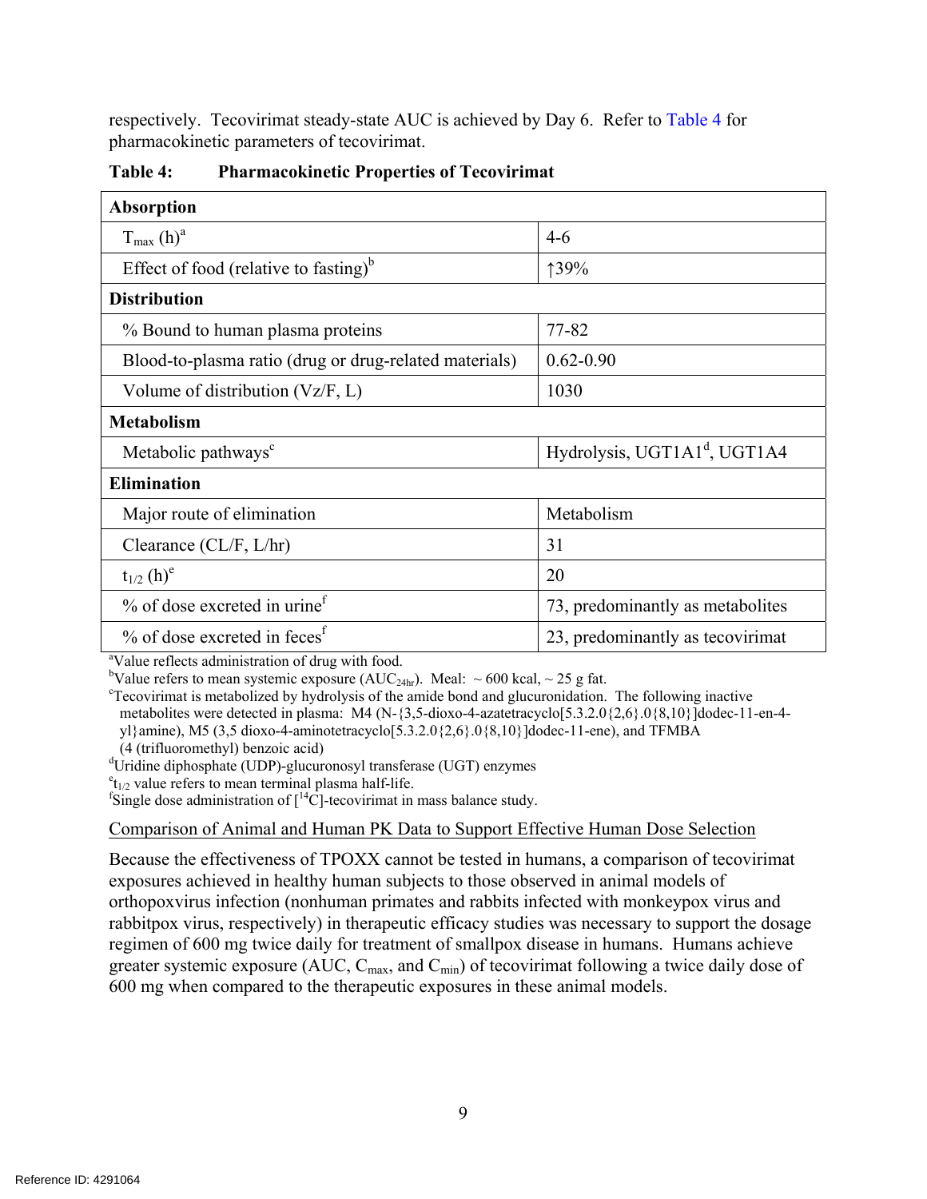respectively. Tecovirimat steady-state AUC is achieved by Day 6. Refer to Table 4 for pharmacokinetic parameters of tecovirimat.

| <b>Absorption</b>                                             |                                          |  |  |  |  |
|---------------------------------------------------------------|------------------------------------------|--|--|--|--|
| $T_{\text{max}}(h)^a$                                         | $4-6$                                    |  |  |  |  |
| Effect of food (relative to fasting) <sup>b</sup>             | 139%                                     |  |  |  |  |
| <b>Distribution</b>                                           |                                          |  |  |  |  |
| % Bound to human plasma proteins                              | 77-82                                    |  |  |  |  |
| Blood-to-plasma ratio (drug or drug-related materials)        | $0.62 - 0.90$                            |  |  |  |  |
| Volume of distribution $(Vz/F, L)$                            | 1030                                     |  |  |  |  |
| <b>Metabolism</b>                                             |                                          |  |  |  |  |
| Metabolic pathways <sup>c</sup>                               | Hydrolysis, UGT1A1 <sup>d</sup> , UGT1A4 |  |  |  |  |
| <b>Elimination</b>                                            |                                          |  |  |  |  |
| Major route of elimination                                    | Metabolism                               |  |  |  |  |
| Clearance (CL/F, L/hr)                                        | 31                                       |  |  |  |  |
| $t_{1/2}$ (h) <sup>e</sup>                                    | 20                                       |  |  |  |  |
| $\%$ of dose excreted in urine <sup>f</sup>                   | 73, predominantly as metabolites         |  |  |  |  |
| $\%$ of dose excreted in feces <sup>f</sup>                   | 23, predominantly as tecovirimat         |  |  |  |  |
| <sup>a</sup> Value reflects administration of drug with food. |                                          |  |  |  |  |

**Table 4: Pharmacokinetic Properties of Tecovirimat** 

bValue refers to mean systemic exposure  $(AUC_{24hr})$ . Meal:  $\sim 600$  kcal,  $\sim 25$  g fat.

Tecovirimat is metabolized by hydrolysis of the amide bond and glucuronidation. The following inactive metabolites were detected in plasma: M4 (N-{3,5-dioxo-4-azatetracyclo[5.3.2.0{2,6}.0{8,10}]dodec-11-en-4yl}amine), M5 (3,5 dioxo-4-aminotetracyclo[5.3.2.0{2,6}.0{8,10}]dodec-11-ene), and TFMBA (4 (trifluoromethyl) benzoic acid)

<sup>d</sup>Uridine diphosphate (UDP)-glucuronosyl transferase (UGT) enzymes

 $e_{t_{1/2}}$  value refers to mean terminal plasma half-life.

<sup>f</sup>Single dose administration of  $\int_1^{14}$ C]-tecovirimat in mass balance study.

Comparison of Animal and Human PK Data to Support Effective Human Dose Selection

Because the effectiveness of TPOXX cannot be tested in humans, a comparison of tecovirimat exposures achieved in healthy human subjects to those observed in animal models of orthopoxvirus infection (nonhuman primates and rabbits infected with monkeypox virus and rabbitpox virus, respectively) in therapeutic efficacy studies was necessary to support the dosage regimen of 600 mg twice daily for treatment of smallpox disease in humans. Humans achieve greater systemic exposure (AUC, C<sub>max</sub>, and C<sub>min</sub>) of tecovirimat following a twice daily dose of 600 mg when compared to the therapeutic exposures in these animal models.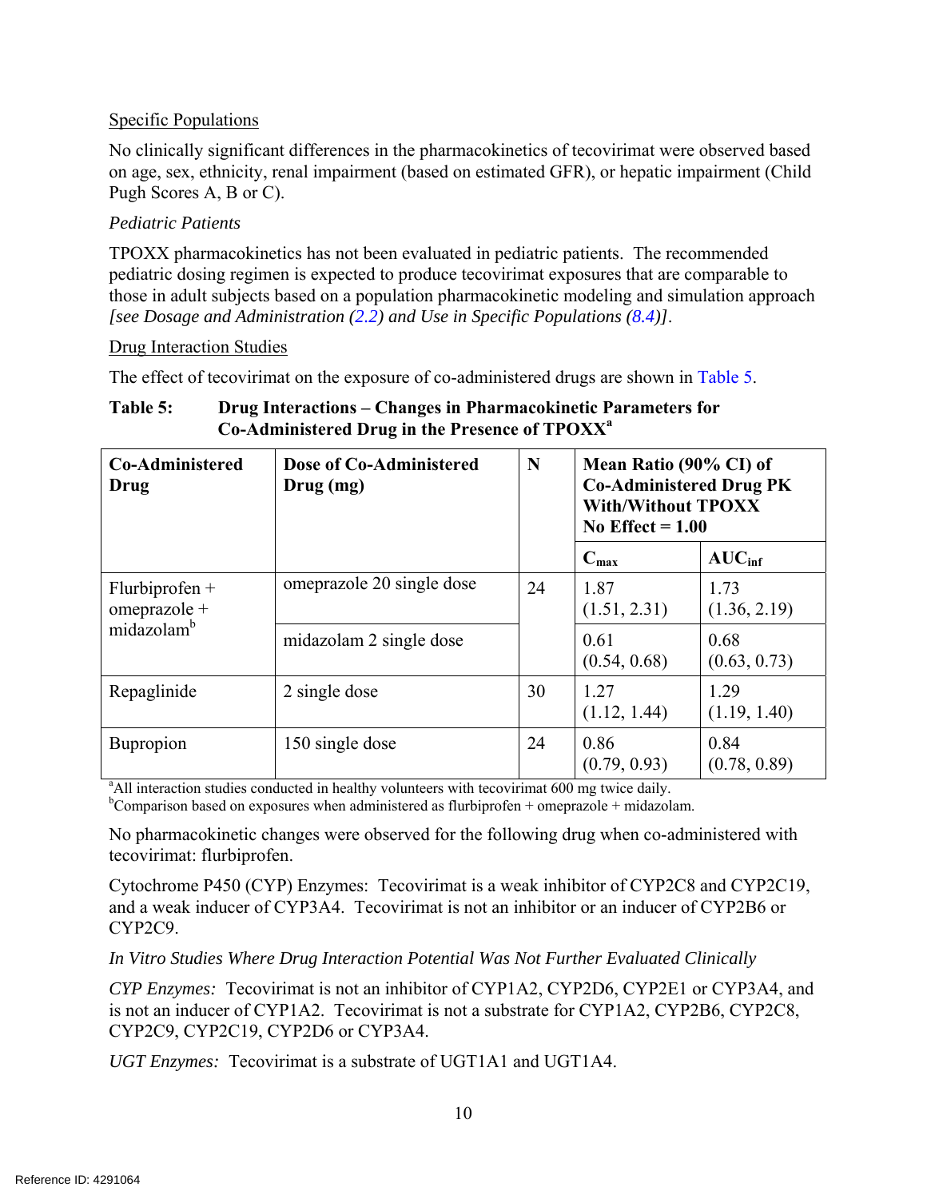#### Specific Populations

No clinically significant differences in the pharmacokinetics of tecovirimat were observed based on age, sex, ethnicity, renal impairment (based on estimated GFR), or hepatic impairment (Child Pugh Scores A, B or C).

#### *Pediatric Patients*

TPOXX pharmacokinetics has not been evaluated in pediatric patients. The recommended pediatric dosing regimen is expected to produce tecovirimat exposures that are comparable to those in adult subjects based on a population pharmacokinetic modeling and simulation approach *[see Dosage and Administration (2.2) and Use in Specific Populations (8.4)]*.

#### Drug Interaction Studies

The effect of tecovirimat on the exposure of co-administered drugs are shown in Table 5.

| <b>Co-Administered</b><br>Drug                             | Dose of Co-Administered<br>Drug(mg)                                                                       | N  | Mean Ratio (90% CI) of<br><b>Co-Administered Drug PK</b><br><b>With/Without TPOXX</b><br>No Effect $= 1.00$ |                      |
|------------------------------------------------------------|-----------------------------------------------------------------------------------------------------------|----|-------------------------------------------------------------------------------------------------------------|----------------------|
|                                                            |                                                                                                           |    | $C_{\text{max}}$                                                                                            | AUC <sub>inf</sub>   |
| $Flurbiprofen +$<br>omeprazole +<br>midazolam <sup>b</sup> | omeprazole 20 single dose<br>24                                                                           |    | 1.87<br>(1.51, 2.31)                                                                                        | 1.73<br>(1.36, 2.19) |
|                                                            | midazolam 2 single dose                                                                                   |    | 0.61<br>(0.54, 0.68)                                                                                        | 0.68<br>(0.63, 0.73) |
| Repaglinide                                                | 2 single dose                                                                                             | 30 | 1.27<br>(1.12, 1.44)                                                                                        | 1.29<br>(1.19, 1.40) |
| <b>Bupropion</b>                                           | 150 single dose                                                                                           | 24 | 0.86<br>(0.79, 0.93)                                                                                        | 0.84<br>(0.78, 0.89) |
|                                                            | <sup>a</sup> All interaction studies conducted in healthy volunteers with tecovirimat 600 mg twice daily. |    |                                                                                                             |                      |

#### **Table 5: Drug Interactions – Changes in Pharmacokinetic Parameters for Co-Administered Drug in the Presence of TPOXXa**

<sup>b</sup>Comparison based on exposures when administered as flurbiprofen + omeprazole + midazolam.

No pharmacokinetic changes were observed for the following drug when co-administered with tecovirimat: flurbiprofen.

Cytochrome P450 (CYP) Enzymes: Tecovirimat is a weak inhibitor of CYP2C8 and CYP2C19, and a weak inducer of CYP3A4. Tecovirimat is not an inhibitor or an inducer of CYP2B6 or CYP2C9.

*In Vitro Studies Where Drug Interaction Potential Was Not Further Evaluated Clinically* 

*CYP Enzymes:* Tecovirimat is not an inhibitor of CYP1A2, CYP2D6, CYP2E1 or CYP3A4, and is not an inducer of CYP1A2. Tecovirimat is not a substrate for CYP1A2, CYP2B6, CYP2C8, CYP2C9, CYP2C19, CYP2D6 or CYP3A4.

*UGT Enzymes:* Tecovirimat is a substrate of UGT1A1 and UGT1A4.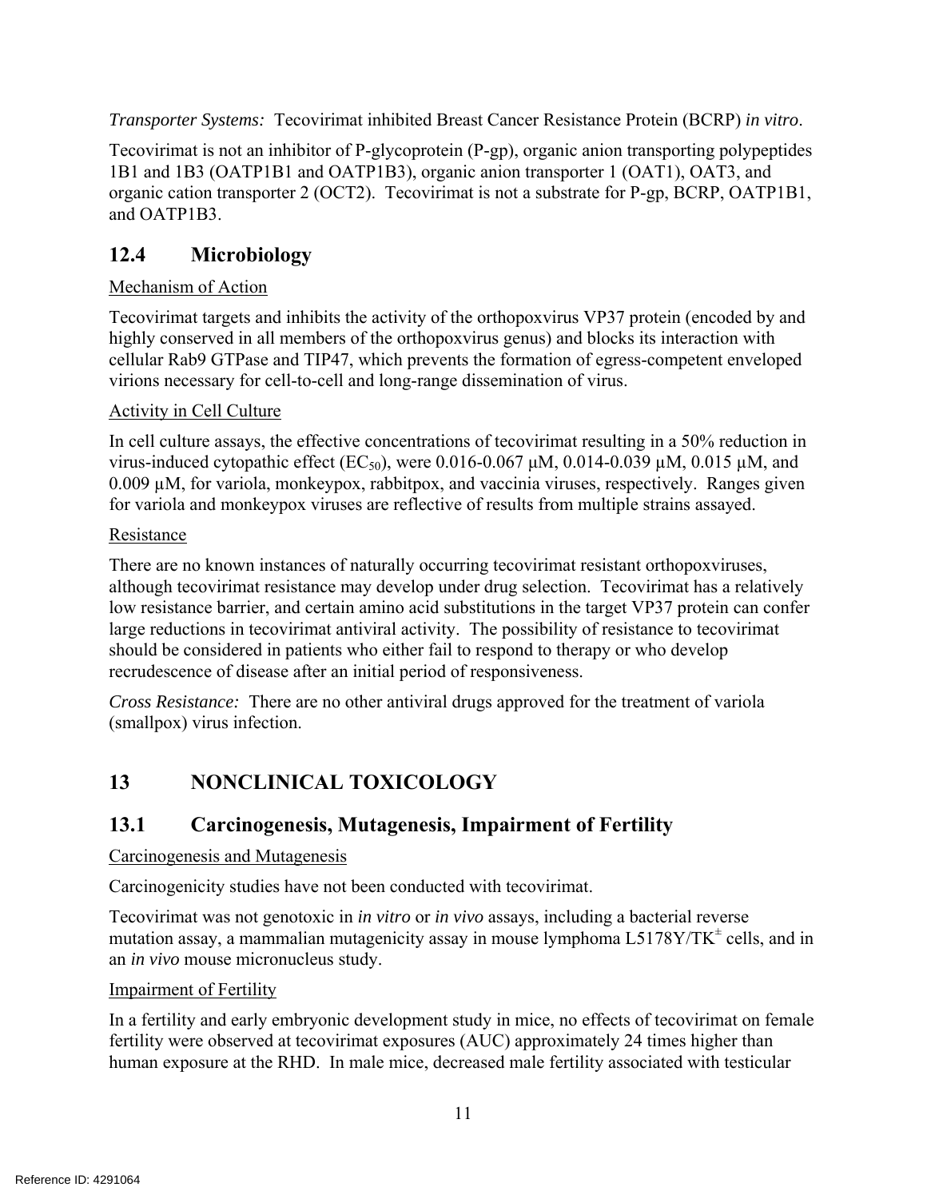*Transporter Systems:* Tecovirimat inhibited Breast Cancer Resistance Protein (BCRP) *in vitro*.

Tecovirimat is not an inhibitor of P-glycoprotein (P-gp), organic anion transporting polypeptides 1B1 and 1B3 (OATP1B1 and OATP1B3), organic anion transporter 1 (OAT1), OAT3, and organic cation transporter 2 (OCT2). Tecovirimat is not a substrate for P-gp, BCRP, OATP1B1, and OATP1B3.

# **12.4 Microbiology**

## Mechanism of Action

Tecovirimat targets and inhibits the activity of the orthopoxvirus VP37 protein (encoded by and highly conserved in all members of the orthopoxvirus genus) and blocks its interaction with cellular Rab9 GTPase and TIP47, which prevents the formation of egress-competent enveloped virions necessary for cell-to-cell and long-range dissemination of virus.

## Activity in Cell Culture

In cell culture assays, the effective concentrations of tecovirimat resulting in a 50% reduction in virus-induced cytopathic effect (EC<sub>50</sub>), were 0.016-0.067 μM, 0.014-0.039 μM, 0.015 μM, and 0.009 µM, for variola, monkeypox, rabbitpox, and vaccinia viruses, respectively. Ranges given for variola and monkeypox viruses are reflective of results from multiple strains assayed.

## Resistance

There are no known instances of naturally occurring tecovirimat resistant orthopoxviruses, although tecovirimat resistance may develop under drug selection. Tecovirimat has a relatively low resistance barrier, and certain amino acid substitutions in the target VP37 protein can confer large reductions in tecovirimat antiviral activity. The possibility of resistance to tecovirimat should be considered in patients who either fail to respond to therapy or who develop recrudescence of disease after an initial period of responsiveness.

*Cross Resistance:* There are no other antiviral drugs approved for the treatment of variola (smallpox) virus infection.

# **13 NONCLINICAL TOXICOLOGY**

# **13.1 Carcinogenesis, Mutagenesis, Impairment of Fertility**

## Carcinogenesis and Mutagenesis

Carcinogenicity studies have not been conducted with tecovirimat.

Tecovirimat was not genotoxic in *in vitro* or *in vivo* assays, including a bacterial reverse mutation assay, a mammalian mutagenicity assay in mouse lymphoma  $L5178Y/TK^{\pm}$  cells, and in an *in vivo* mouse micronucleus study.

#### Impairment of Fertility

In a fertility and early embryonic development study in mice, no effects of tecovirimat on female fertility were observed at tecovirimat exposures (AUC) approximately 24 times higher than human exposure at the RHD. In male mice, decreased male fertility associated with testicular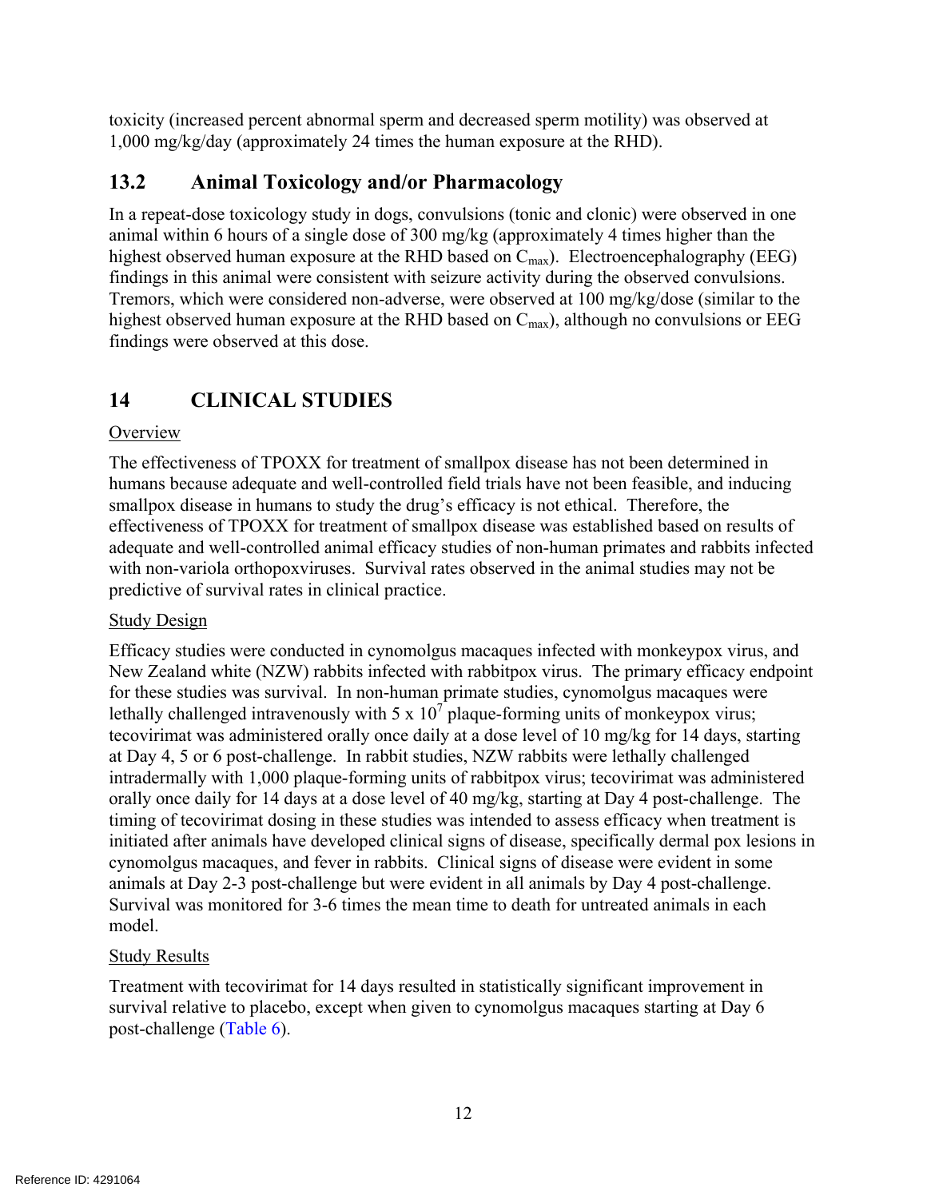toxicity (increased percent abnormal sperm and decreased sperm motility) was observed at 1,000 mg/kg/day (approximately 24 times the human exposure at the RHD).

# **13.2 Animal Toxicology and/or Pharmacology**

In a repeat-dose toxicology study in dogs, convulsions (tonic and clonic) were observed in one animal within 6 hours of a single dose of 300 mg/kg (approximately 4 times higher than the highest observed human exposure at the RHD based on  $C_{\text{max}}$ ). Electroencephalography (EEG) findings in this animal were consistent with seizure activity during the observed convulsions. Tremors, which were considered non-adverse, were observed at 100 mg/kg/dose (similar to the highest observed human exposure at the RHD based on  $C_{\text{max}}$ ), although no convulsions or EEG findings were observed at this dose.

# **14 CLINICAL STUDIES**

#### **Overview**

The effectiveness of TPOXX for treatment of smallpox disease has not been determined in humans because adequate and well-controlled field trials have not been feasible, and inducing smallpox disease in humans to study the drug's efficacy is not ethical. Therefore, the effectiveness of TPOXX for treatment of smallpox disease was established based on results of adequate and well-controlled animal efficacy studies of non-human primates and rabbits infected with non-variola orthopoxviruses. Survival rates observed in the animal studies may not be predictive of survival rates in clinical practice.

#### Study Design

Efficacy studies were conducted in cynomolgus macaques infected with monkeypox virus, and New Zealand white (NZW) rabbits infected with rabbitpox virus. The primary efficacy endpoint for these studies was survival. In non-human primate studies, cynomolgus macaques were lethally challenged intravenously with 5 x  $10^7$  plaque-forming units of monkeypox virus; tecovirimat was administered orally once daily at a dose level of 10 mg/kg for 14 days, starting at Day 4, 5 or 6 post-challenge. In rabbit studies, NZW rabbits were lethally challenged intradermally with 1,000 plaque-forming units of rabbitpox virus; tecovirimat was administered orally once daily for 14 days at a dose level of 40 mg/kg, starting at Day 4 post-challenge. The timing of tecovirimat dosing in these studies was intended to assess efficacy when treatment is initiated after animals have developed clinical signs of disease, specifically dermal pox lesions in cynomolgus macaques, and fever in rabbits. Clinical signs of disease were evident in some animals at Day 2-3 post-challenge but were evident in all animals by Day 4 post-challenge. Survival was monitored for 3-6 times the mean time to death for untreated animals in each model.

#### Study Results

Treatment with tecovirimat for 14 days resulted in statistically significant improvement in survival relative to placebo, except when given to cynomolgus macaques starting at Day 6 post-challenge (Table 6).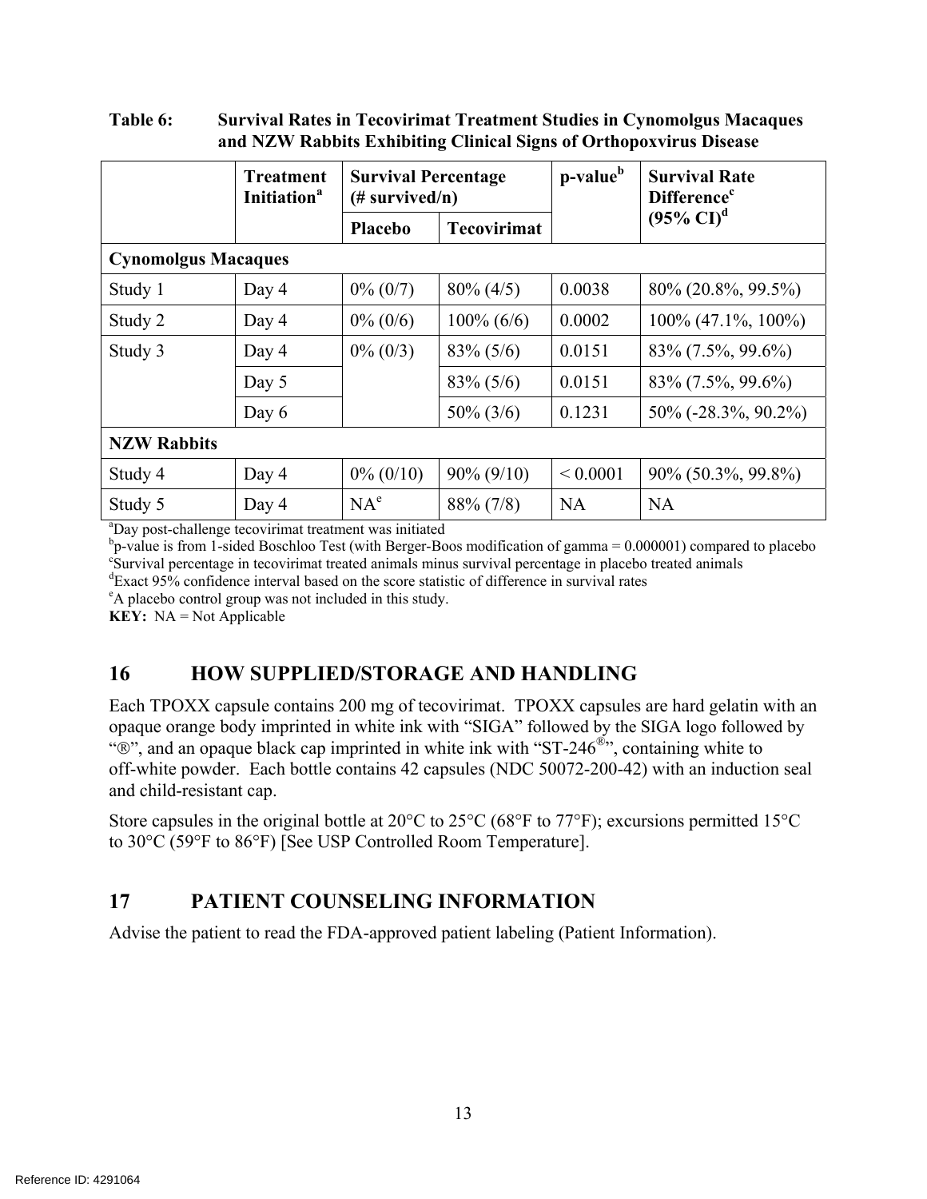#### **Table 6: Survival Rates in Tecovirimat Treatment Studies in Cynomolgus Macaques and NZW Rabbits Exhibiting Clinical Signs of Orthopoxvirus Disease**

|                                                                     | Treatment<br><b>Initiation</b> <sup>a</sup> | <b>Survival Percentage</b><br>$(\#$ survived/n) |                    | p-value <sup>b</sup> | <b>Survival Rate</b><br><b>Difference</b> <sup>c</sup> |  |
|---------------------------------------------------------------------|---------------------------------------------|-------------------------------------------------|--------------------|----------------------|--------------------------------------------------------|--|
|                                                                     |                                             | <b>Placebo</b>                                  | <b>Tecovirimat</b> |                      | $(95\% \text{ Cl})^d$                                  |  |
| <b>Cynomolgus Macaques</b>                                          |                                             |                                                 |                    |                      |                                                        |  |
| Study 1                                                             | Day 4                                       | $0\% (0/7)$                                     | $80\% (4/5)$       | 0.0038               | 80\% (20.8\%, 99.5\%)                                  |  |
| Study 2                                                             | Day 4                                       | $0\% (0/6)$                                     | $100\% (6/6)$      | 0.0002               | $100\%$ (47.1%, 100%)                                  |  |
| Study 3                                                             | Day 4                                       | $0\% (0/3)$                                     | $83\% (5/6)$       | 0.0151               | 83\% (7.5\%, 99.6\%)                                   |  |
|                                                                     | Day 5                                       |                                                 | $83\% (5/6)$       | 0.0151               | 83\% (7.5\%, 99.6\%)                                   |  |
|                                                                     | Day 6                                       |                                                 | $50\% (3/6)$       | 0.1231               | $50\%$ (-28.3%, 90.2%)                                 |  |
| <b>NZW Rabbits</b>                                                  |                                             |                                                 |                    |                      |                                                        |  |
| Study 4                                                             | Day 4                                       | $0\% (0/10)$                                    | $90\% (9/10)$      | ${}< 0.0001$         | 90% (50.3%, 99.8%)                                     |  |
| Study 5                                                             | Day 4                                       | $NA^e$                                          | 88% (7/8)          | <b>NA</b>            | <b>NA</b>                                              |  |
| <sup>a</sup> Day post-challenge tecovirimat treatment was initiated |                                             |                                                 |                    |                      |                                                        |  |

<sup>b</sup>p-value is from 1-sided Boschloo Test (with Berger-Boos modification of gamma = 0.000001) compared to placebo Survival percentage in tecovirimat treated animals minus survival percentage in placebo treated animals

 $\text{d}^{\text{d}}$ Exact 95% confidence interval based on the score statistic of difference in survival rates  $\text{d}^{\text{d}}$ 

A placebo control group was not included in this study.

**KEY:** NA = Not Applicable

## **16 HOW SUPPLIED/STORAGE AND HANDLING**

Each TPOXX capsule contains 200 mg of tecovirimat. TPOXX capsules are hard gelatin with an opaque orange body imprinted in white ink with "SIGA" followed by the SIGA logo followed by " $\mathbb{R}$ ", and an opaque black cap imprinted in white ink with "ST-246<sup> $\mathbb{R}$ </sup>", containing white to off-white powder. Each bottle contains 42 capsules (NDC 50072-200-42) with an induction seal and child-resistant cap.

Store capsules in the original bottle at 20°C to 25°C (68°F to 77°F); excursions permitted 15°C to 30°C (59°F to 86°F) [See USP Controlled Room Temperature].

# **17 PATIENT COUNSELING INFORMATION**

Advise the patient to read the FDA-approved patient labeling (Patient Information).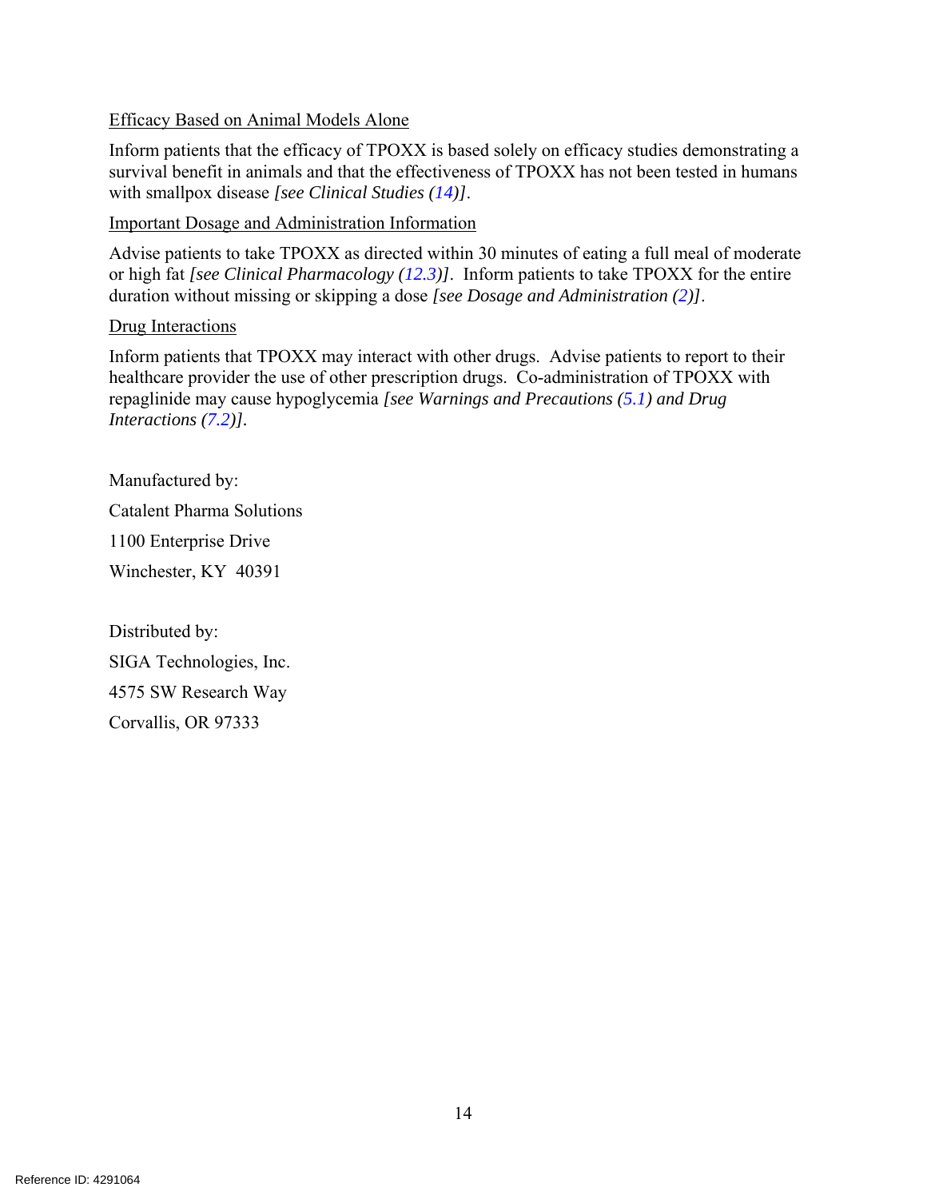#### Efficacy Based on Animal Models Alone

Inform patients that the efficacy of TPOXX is based solely on efficacy studies demonstrating a survival benefit in animals and that the effectiveness of TPOXX has not been tested in humans with smallpox disease *[see Clinical Studies (14)]*.

#### Important Dosage and Administration Information

Advise patients to take TPOXX as directed within 30 minutes of eating a full meal of moderate or high fat *[see Clinical Pharmacology (12.3)]*. Inform patients to take TPOXX for the entire duration without missing or skipping a dose *[see Dosage and Administration (2)]*.

#### Drug Interactions

Inform patients that TPOXX may interact with other drugs. Advise patients to report to their healthcare provider the use of other prescription drugs. Co-administration of TPOXX with repaglinide may cause hypoglycemia *[see Warnings and Precautions (5.1) and Drug Interactions (7.2)].* 

Manufactured by: Catalent Pharma Solutions 1100 Enterprise Drive Winchester, KY 40391

Distributed by: SIGA Technologies, Inc. 4575 SW Research Way Corvallis, OR 97333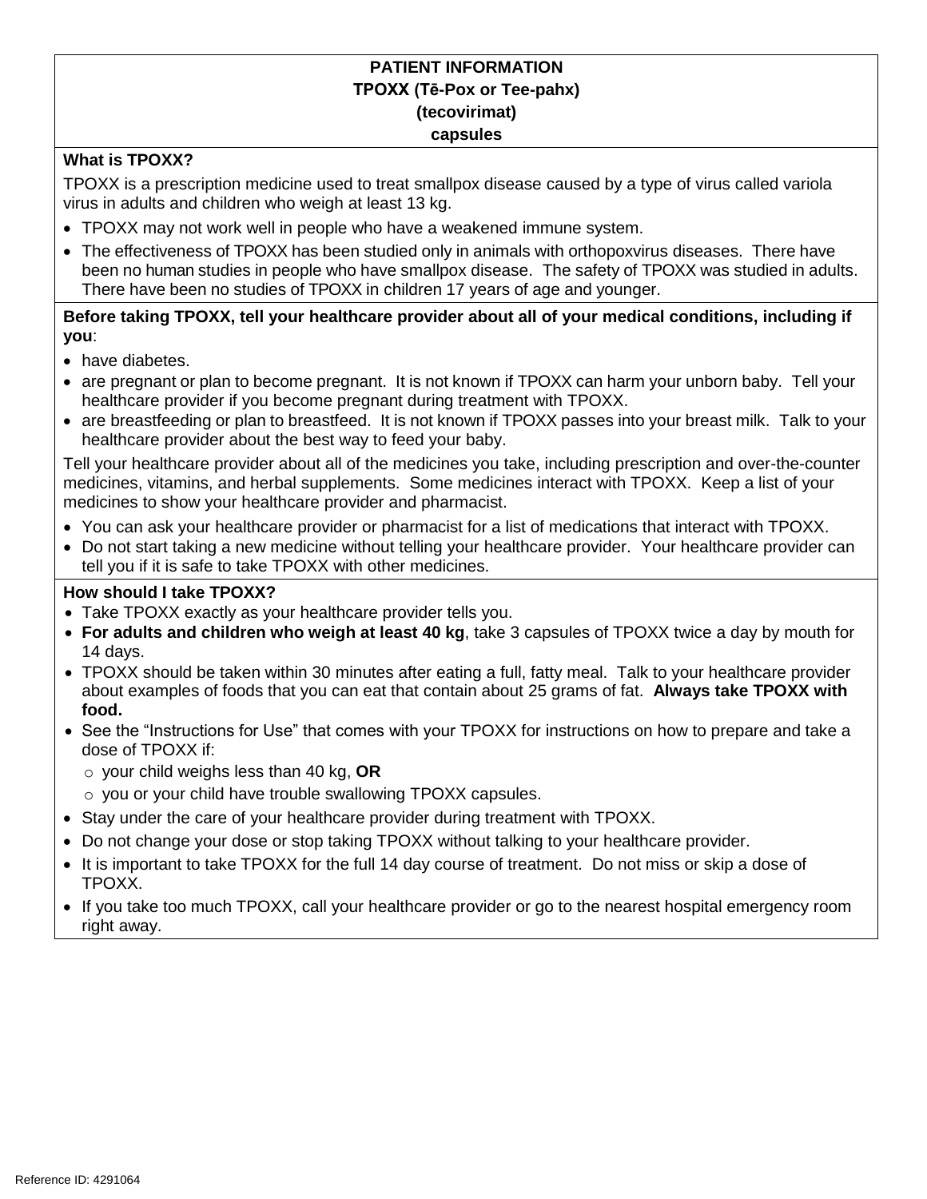#### **PATIENT INFORMATION TPOXX (Tē-Pox or Tee-pahx) (tecovirimat) capsules**

#### **What is TPOXX?**

 TPOXX is a prescription medicine used to treat smallpox disease caused by a type of virus called variola virus in adults and children who weigh at least 13 kg.

- TPOXX may not work well in people who have a weakened immune system.
- The effectiveness of TPOXX has been studied only in animals with orthopoxvirus diseases. There have been no human studies in people who have smallpox disease. The safety of TPOXX was studied in adults. There have been no studies of TPOXX in children 17 years of age and younger.

 **Before taking TPOXX, tell your healthcare provider about all of your medical conditions, including if you**:

- have diabetes.
- healthcare provider if you become pregnant during treatment with TPOXX. • are pregnant or plan to become pregnant. It is not known if TPOXX can harm your unborn baby. Tell your
- healthcare provider about the best way to feed your baby. • are breastfeeding or plan to breastfeed. It is not known if TPOXX passes into your breast milk. Talk to your

 Tell your healthcare provider about all of the medicines you take, including prescription and over-the-counter medicines, vitamins, and herbal supplements. Some medicines interact with TPOXX. Keep a list of your medicines to show your healthcare provider and pharmacist.

- You can ask your healthcare provider or pharmacist for a list of medications that interact with TPOXX.
- Do not start taking a new medicine without telling your healthcare provider. Your healthcare provider can tell you if it is safe to take TPOXX with other medicines.

#### **How should I take TPOXX?**

- Take TPOXX exactly as your healthcare provider tells you.
- **For adults and children who weigh at least 40 kg**, take 3 capsules of TPOXX twice a day by mouth for 14 days.
- TPOXX should be taken within 30 minutes after eating a full, fatty meal. Talk to your healthcare provider about examples of foods that you can eat that contain about 25 grams of fat. **Always take TPOXX with food.**
- See the "Instructions for Use" that comes with your TPOXX for instructions on how to prepare and take a dose of TPOXX if:
	- o your child weighs less than 40 kg, **OR**
	- o you or your child have trouble swallowing TPOXX capsules.
- Stay under the care of your healthcare provider during treatment with TPOXX.
- Do not change your dose or stop taking TPOXX without talking to your healthcare provider.
- It is important to take TPOXX for the full 14 day course of treatment. Do not miss or skip a dose of TPOXX.
- If you take too much TPOXX, call your healthcare provider or go to the nearest hospital emergency room right away.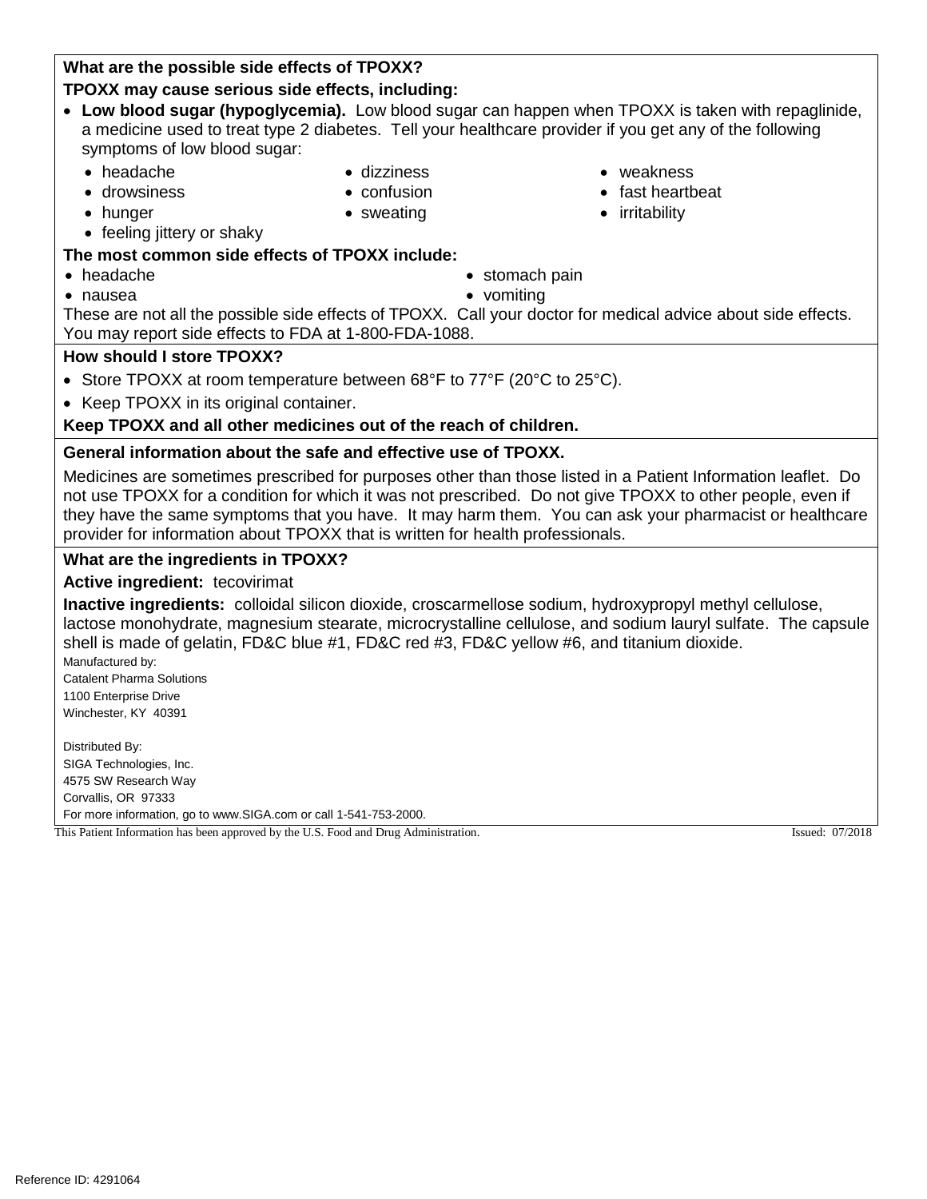# Reference ID: 4291064

# **What are the possible side effects of TPOXX?**

# **TPOXX may cause serious side effects, including:**

- **Low blood sugar (hypoglycemia).** Low blood sugar can happen when TPOXX is taken with repaglinide, a medicine used to treat type 2 diabetes. Tell your healthcare provider if you get any of the following symptoms of low blood sugar:
	-
	- -
	- hunger sweating irritability
	- feeling jittery or shaky

# **The most common side effects of TPOXX include:**

- 
- nausea vomiting
- headache stomach pain
	-

 These are not all the possible side effects of TPOXX. Call your doctor for medical advice about side effects. You may report side effects to FDA at 1-800-FDA-1088.

## **How should I store TPOXX?**

- Store TPOXX at room temperature between 68°F to 77°F (20°C to 25°C).
- Keep TPOXX in its original container.

# **Keep TPOXX and all other medicines out of the reach of children.**

# **General information about the safe and effective use of TPOXX.**

 Medicines are sometimes prescribed for purposes other than those listed in a Patient Information leaflet. Do not use TPOXX for a condition for which it was not prescribed. Do not give TPOXX to other people, even if they have the same symptoms that you have. It may harm them. You can ask your pharmacist or healthcare provider for information about TPOXX that is written for health professionals.

# **What are the ingredients in TPOXX?**

# **Active ingredient:** tecovirimat

 **Inactive ingredients:** colloidal silicon dioxide, croscarmellose sodium, hydroxypropyl methyl cellulose, lactose monohydrate, magnesium stearate, microcrystalline cellulose, and sodium lauryl sulfate. The capsule shell is made of gelatin, FD&C blue #1, FD&C red #3, FD&C yellow #6, and titanium dioxide.

 Catalent Pharma Solutions 1100 Enterprise Drive Winchester, KY 40391 Manufactured by:

 4575 SW Research Way Corvallis, OR 97333 For more information, go to www.SIGA.com or call 1-541-753-2000. This Patient Information has been approved by the U.S. Food and Drug Administration. Issued: 07/2018 Distributed By: SIGA Technologies, Inc.

- headache dizziness weakness
- drowsiness confusion fast heartbeat
	-
	-
	-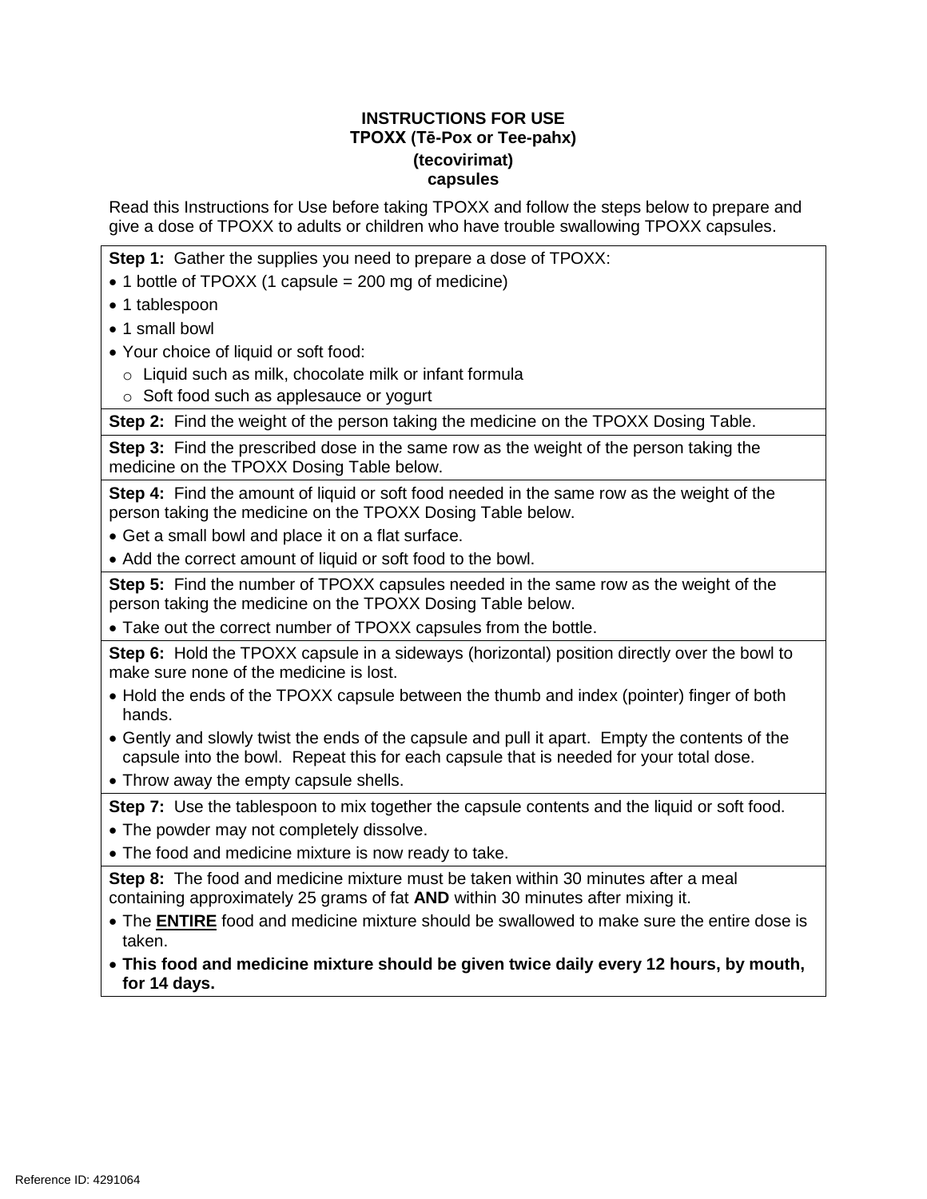#### **INSTRUCTIONS FOR USE TPOXX (Tē-Pox or Tee-pahx) (tecovirimat) capsules**

 Read this Instructions for Use before taking TPOXX and follow the steps below to prepare and give a dose of TPOXX to adults or children who have trouble swallowing TPOXX capsules.

**Step 1:** Gather the supplies you need to prepare a dose of TPOXX:

- 1 bottle of TPOXX (1 capsule = 200 mg of medicine)
- 1 tablespoon
- 1 small bowl
- Your choice of liquid or soft food:
	- o Liquid such as milk, chocolate milk or infant formula
	- o Soft food such as applesauce or yogurt

**Step 2:** Find the weight of the person taking the medicine on the TPOXX Dosing Table.

 **Step 3:** Find the prescribed dose in the same row as the weight of the person taking the medicine on the TPOXX Dosing Table below.

 **Step 4:** Find the amount of liquid or soft food needed in the same row as the weight of the person taking the medicine on the TPOXX Dosing Table below.

- Get a small bowl and place it on a flat surface.
- Add the correct amount of liquid or soft food to the bowl.

 **Step 5:** Find the number of TPOXX capsules needed in the same row as the weight of the person taking the medicine on the TPOXX Dosing Table below.

Take out the correct number of TPOXX capsules from the bottle.

 **Step 6:** Hold the TPOXX capsule in a sideways (horizontal) position directly over the bowl to make sure none of the medicine is lost.

- Hold the ends of the TPOXX capsule between the thumb and index (pointer) finger of both hands.
- Gently and slowly twist the ends of the capsule and pull it apart. Empty the contents of the capsule into the bowl. Repeat this for each capsule that is needed for your total dose.
- Throw away the empty capsule shells.

Step 7: Use the tablespoon to mix together the capsule contents and the liquid or soft food.

- The powder may not completely dissolve.
- The food and medicine mixture is now ready to take.

 **Step 8:** The food and medicine mixture must be taken within 30 minutes after a meal containing approximately 25 grams of fat **AND** within 30 minutes after mixing it.

- The **ENTIRE** food and medicine mixture should be swallowed to make sure the entire dose is taken.
- **This food and medicine mixture should be given twice daily every 12 hours, by mouth, for 14 days.**